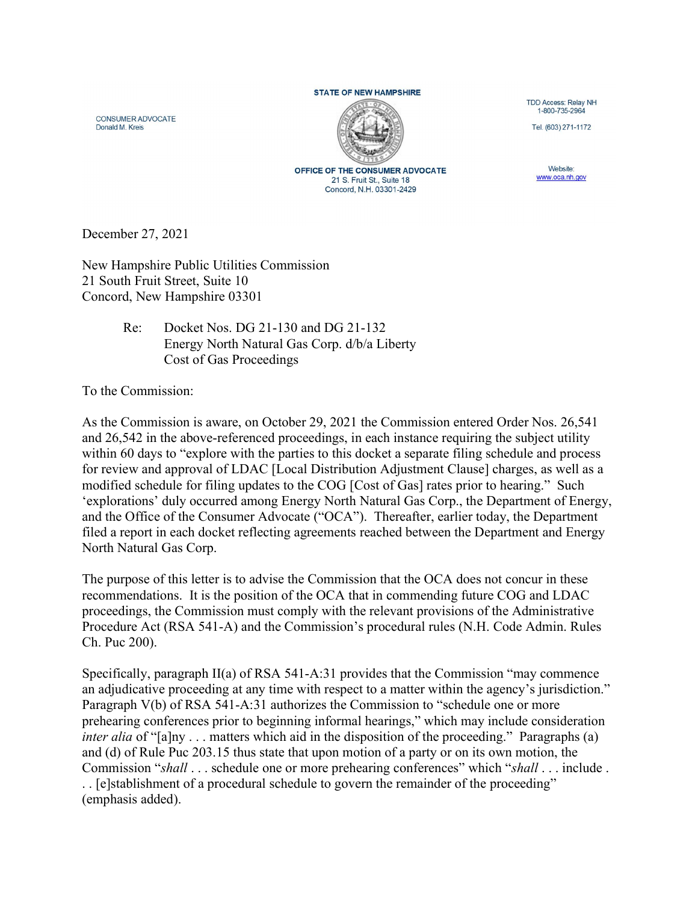## **STATE OF NEW HAMPSHIRE**

CONSUMER ADVOCATE Donald M. Kreis



**OFFICE OF THE CONSUMER ADVOCATE** 21 S. Fruit St., Suite 18 Concord, N.H. 03301-2429

TDD Access: Relay NH 1-B00-735-2964

Tel. (603) 271-1172

Website: **www.oca.nh.gov** 

December 27, 2021

New Hampshire Public Utilities Commission 21 South Fruit Street, Suite 10 Concord, New Hampshire 03301

## Re: Docket Nos. DG 21-130 and DG 21-132 Energy North Natural Gas Corp. d/b/a Liberty Cost of Gas Proceedings

To the Commission:

As the Commission is aware, on October 29, 2021 the Commission entered Order Nos. 26,541 and 26,542 in the above-referenced proceedings, in each instance requiring the subject utility within 60 days to "explore with the parties to this docket a separate filing schedule and process for review and approval of LDAC [Local Distribution Adjustment Clause] charges, as well as a modified schedule for filing updates to the COG [Cost of Gas] rates prior to hearing." Such 'explorations' duly occurred among Energy North Natural Gas Corp., the Department of Energy, and the Office of the Consumer Advocate ("OCA"). Thereafter, earlier today, the Department filed a report in each docket reflecting agreements reached between the Department and Energy North Natural Gas Corp.

The purpose of this letter is to advise the Commission that the OCA does not concur in these recommendations. It is the position of the OCA that in commending future COG and LDAC proceedings, the Commission must comply with the relevant provisions of the Administrative Procedure Act (RSA 541-A) and the Commission's procedural rules (N.H. Code Admin. Rules Ch. Puc 200).

Specifically, paragraph II(a) of RSA 541-A:31 provides that the Commission "may commence an adjudicative proceeding at any time with respect to a matter within the agency's jurisdiction." Paragraph V(b) of RSA 541-A:31 authorizes the Commission to "schedule one or more prehearing conferences prior to beginning informal hearings," which may include consideration inter alia of "[a]ny . . . matters which aid in the disposition of the proceeding." Paragraphs (a) and (d) of Rule Puc 203.15 thus state that upon motion of a party or on its own motion, the Commission "shall . . . schedule one or more prehearing conferences" which "shall . . . include . . . [e]stablishment of a procedural schedule to govern the remainder of the proceeding" (emphasis added).